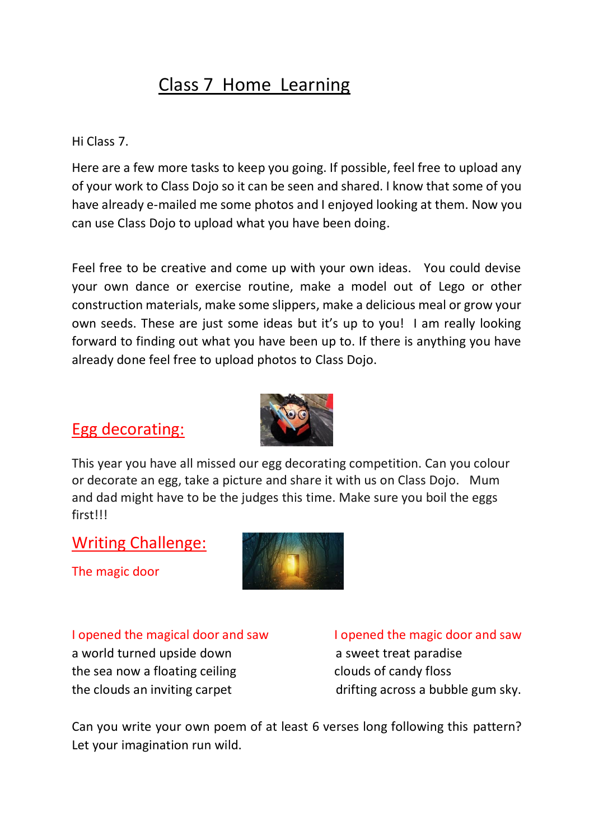## Class 7 Home Learning

#### Hi Class 7.

Here are a few more tasks to keep you going. If possible, feel free to upload any of your work to Class Dojo so it can be seen and shared. I know that some of you have already e-mailed me some photos and I enjoyed looking at them. Now you can use Class Dojo to upload what you have been doing.

Feel free to be creative and come up with your own ideas. You could devise your own dance or exercise routine, make a model out of Lego or other construction materials, make some slippers, make a delicious meal or grow your own seeds. These are just some ideas but it's up to you! I am really looking forward to finding out what you have been up to. If there is anything you have already done feel free to upload photos to Class Dojo.

### Egg decorating:



This year you have all missed our egg decorating competition. Can you colour or decorate an egg, take a picture and share it with us on Class Dojo. Mum and dad might have to be the judges this time. Make sure you boil the eggs first!!!

#### Writing Challenge:

The magic door



#### I opened the magical door and saw I opened the magic door and saw

a world turned upside down a sweet treat paradise the sea now a floating ceiling contact the sea now a floating ceiling contact the sea now a floating ceiling

the clouds an inviting carpet drifting across a bubble gum sky.

Can you write your own poem of at least 6 verses long following this pattern? Let your imagination run wild.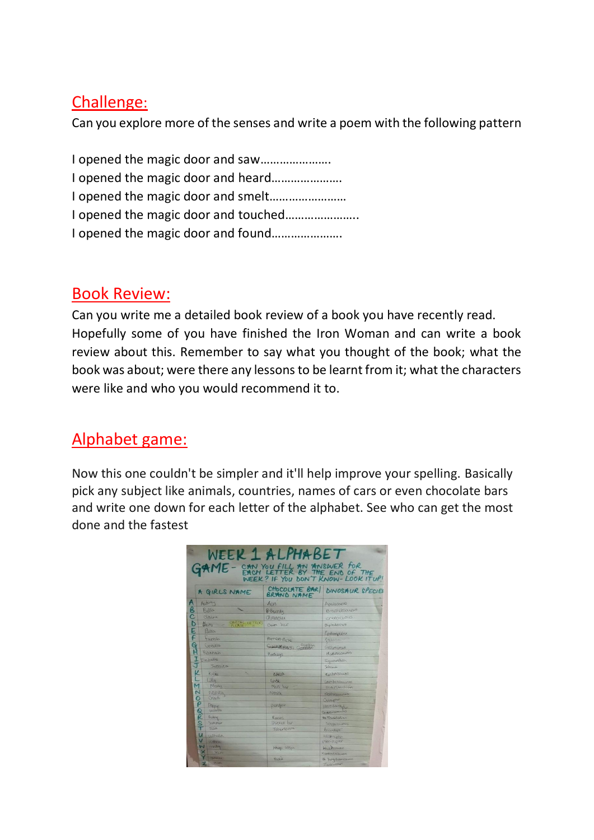#### Challenge:

Can you explore more of the senses and write a poem with the following pattern

I opened the magic door and saw…………………. I opened the magic door and heard…………………. I opened the magic door and smelt…………………… I opened the magic door and touched………………….. I opened the magic door and found………………….

### Book Review:

Can you write me a detailed book review of a book you have recently read. Hopefully some of you have finished the Iron Woman and can write a book review about this. Remember to say what you thought of the book; what the book was about; were there any lessons to be learnt from it; what the characters were like and who you would recommend it to.

## Alphabet game:

Now this one couldn't be simpler and it'll help improve your spelling. Basically pick any subject like animals, countries, names of cars or even chocolate bars and write one down for each letter of the alphabet. See who can get the most done and the fastest

| WEEK 1 ALPHABET<br>GAME - CAN YOU FILL AN ANSWER FOR<br>WEEK? IF YOU DON'T KNOW-LOOK ITUP! |                        |                                         |
|--------------------------------------------------------------------------------------------|------------------------|-----------------------------------------|
| A GIRLS NAME                                                                               |                        | CHOCOLATE BARI DINOSAUR SPECIES         |
| Α<br>Audrey                                                                                | ARXO                   | Apatosanis                              |
| B<br>Belle                                                                                 | 1 Bourdy               | Brachioscurvo                           |
| Claire                                                                                     | Chrunches              | cretaceous                              |
| <b>STATE LETTERS</b><br>D<br>B <sub>n150</sub>                                             | Daim bar               | Diplodocus                              |
| E<br>Eurx                                                                                  |                        | Epidemptén                              |
| F<br>tames                                                                                 | Pornero Pache          | falacan                                 |
| GH<br>Gracie                                                                               | Governing over Guillan | Gallymonus                              |
| Harrah                                                                                     | Hertheus               | Hadrosaurus                             |
| tSabelle                                                                                   |                        | <b>Iquaredon</b>                        |
| Jessica                                                                                    |                        | Saturna                                 |
| K<br>s,<br>Kulaz                                                                           | Killat                 | Kentrosaums                             |
| Lilly                                                                                      | Linds.                 | Lambersaurus                            |
| м<br>MOUSY                                                                                 | Mas bar                | marstriehion                            |
| N<br>nancy                                                                                 | Nerthe                 | Natheranians                            |
| Cripith<br>$\circ$                                                                         |                        | Quireyotor                              |
| ρ<br>Proper                                                                                | pengan                 | nterodoctul                             |
| <b>R</b><br>question                                                                       |                        | Quastiteming                            |
| Ruby<br>S<br>Summer                                                                        | Rooses<br>Snickers for | Ru Rhabadas on                          |
| Tollin                                                                                     | Tobertorone            | Stegazawans<br><i><b>Ancicettas</b></i> |
| u<br>ushulla                                                                               |                        | <b><i><u>adamnador</u></i></b>          |
| vuttino.                                                                                   |                        | VOIDCIJOLOHO                            |
| W<br>wereon                                                                                | (HAME- DISpo.          | Wasksmins                               |
| ×<br>Xaro                                                                                  |                        | Kennfelsonshums                         |
| <b>Usemba</b>                                                                              | YORKIE                 | Eb Yamehomusamos                        |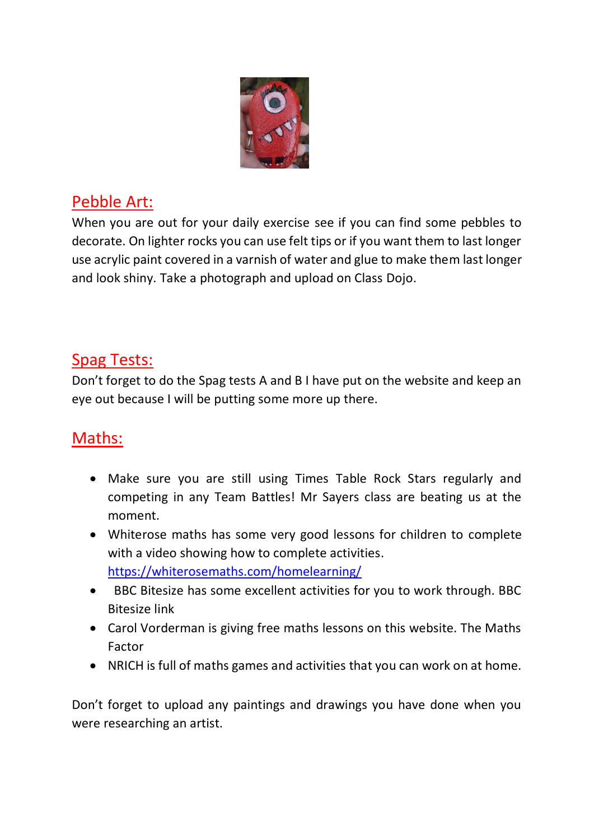

## Pebble Art:

When you are out for your daily exercise see if you can find some pebbles to decorate. On lighter rocks you can use felt tips or if you want them to last longer use acrylic paint covered in a varnish of water and glue to make them last longer and look shiny. Take a photograph and upload on Class Dojo.

## Spag Tests:

Don't forget to do the Spag tests A and B I have put on the website and keep an eye out because I will be putting some more up there.

# Maths:

- Make sure you are still using Times Table Rock Stars regularly and competing in any Team Battles! Mr Sayers class are beating us at the moment.
- Whiterose maths has some very good lessons for children to complete with a video showing how to complete activities. <https://whiterosemaths.com/homelearning/>
- BBC Bitesize has some excellent activities for you to work through. BBC Bitesize link
- Carol Vorderman is giving free maths lessons on this website. The Maths Factor
- NRICH is full of maths games and activities that you can work on at home.

Don't forget to upload any paintings and drawings you have done when you were researching an artist.